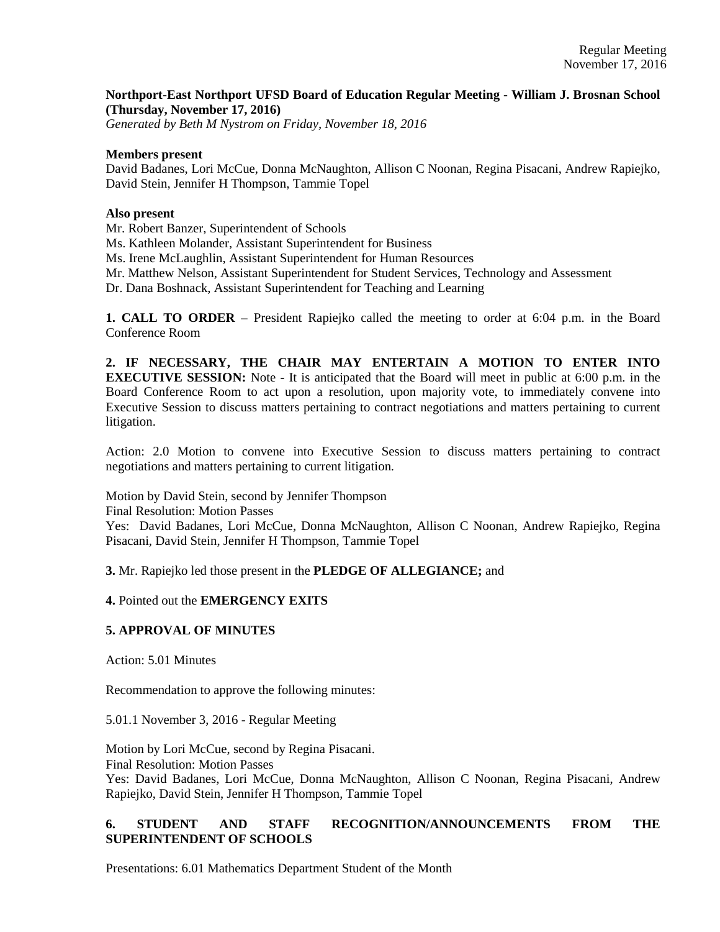## **Northport-East Northport UFSD Board of Education Regular Meeting - William J. Brosnan School (Thursday, November 17, 2016)**

*Generated by Beth M Nystrom on Friday, November 18, 2016*

#### **Members present**

David Badanes, Lori McCue, Donna McNaughton, Allison C Noonan, Regina Pisacani, Andrew Rapiejko, David Stein, Jennifer H Thompson, Tammie Topel

#### **Also present**

Mr. Robert Banzer, Superintendent of Schools

Ms. Kathleen Molander, Assistant Superintendent for Business

Ms. Irene McLaughlin, Assistant Superintendent for Human Resources

Mr. Matthew Nelson, Assistant Superintendent for Student Services, Technology and Assessment

Dr. Dana Boshnack, Assistant Superintendent for Teaching and Learning

**1. CALL TO ORDER** – President Rapiejko called the meeting to order at 6:04 p.m. in the Board Conference Room

**2. IF NECESSARY, THE CHAIR MAY ENTERTAIN A MOTION TO ENTER INTO EXECUTIVE SESSION:** Note - It is anticipated that the Board will meet in public at 6:00 p.m. in the Board Conference Room to act upon a resolution, upon majority vote, to immediately convene into Executive Session to discuss matters pertaining to contract negotiations and matters pertaining to current litigation.

Action: 2.0 Motion to convene into Executive Session to discuss matters pertaining to contract negotiations and matters pertaining to current litigation.

Motion by David Stein, second by Jennifer Thompson Final Resolution: Motion Passes

Yes: David Badanes, Lori McCue, Donna McNaughton, Allison C Noonan, Andrew Rapiejko, Regina Pisacani, David Stein, Jennifer H Thompson, Tammie Topel

**3.** Mr. Rapiejko led those present in the **PLEDGE OF ALLEGIANCE;** and

**4.** Pointed out the **EMERGENCY EXITS**

## **5. APPROVAL OF MINUTES**

Action: 5.01 Minutes

Recommendation to approve the following minutes:

5.01.1 November 3, 2016 - Regular Meeting

Motion by Lori McCue, second by Regina Pisacani. Final Resolution: Motion Passes Yes: David Badanes, Lori McCue, Donna McNaughton, Allison C Noonan, Regina Pisacani, Andrew Rapiejko, David Stein, Jennifer H Thompson, Tammie Topel

# **6. STUDENT AND STAFF RECOGNITION/ANNOUNCEMENTS FROM THE SUPERINTENDENT OF SCHOOLS**

Presentations: 6.01 Mathematics Department Student of the Month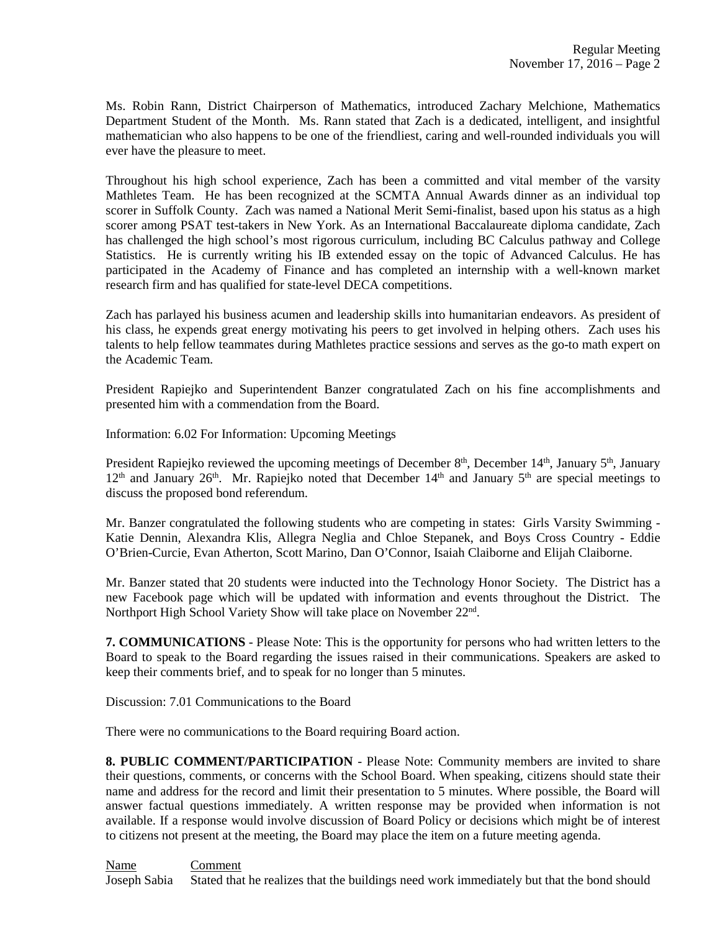Ms. Robin Rann, District Chairperson of Mathematics, introduced Zachary Melchione, Mathematics Department Student of the Month. Ms. Rann stated that Zach is a dedicated, intelligent, and insightful mathematician who also happens to be one of the friendliest, caring and well-rounded individuals you will ever have the pleasure to meet.

Throughout his high school experience, Zach has been a committed and vital member of the varsity Mathletes Team. He has been recognized at the SCMTA Annual Awards dinner as an individual top scorer in Suffolk County. Zach was named a National Merit Semi-finalist, based upon his status as a high scorer among PSAT test-takers in New York. As an International Baccalaureate diploma candidate, Zach has challenged the high school's most rigorous curriculum, including BC Calculus pathway and College Statistics. He is currently writing his IB extended essay on the topic of Advanced Calculus. He has participated in the Academy of Finance and has completed an internship with a well-known market research firm and has qualified for state-level DECA competitions.

Zach has parlayed his business acumen and leadership skills into humanitarian endeavors. As president of his class, he expends great energy motivating his peers to get involved in helping others. Zach uses his talents to help fellow teammates during Mathletes practice sessions and serves as the go-to math expert on the Academic Team.

President Rapiejko and Superintendent Banzer congratulated Zach on his fine accomplishments and presented him with a commendation from the Board.

Information: 6.02 For Information: Upcoming Meetings

President Rapiejko reviewed the upcoming meetings of December 8<sup>th</sup>, December 14<sup>th</sup>, January 5<sup>th</sup>, January  $12<sup>th</sup>$  and January  $26<sup>th</sup>$ . Mr. Rapiejko noted that December  $14<sup>th</sup>$  and January  $5<sup>th</sup>$  are special meetings to discuss the proposed bond referendum.

Mr. Banzer congratulated the following students who are competing in states: Girls Varsity Swimming - Katie Dennin, Alexandra Klis, Allegra Neglia and Chloe Stepanek, and Boys Cross Country - Eddie O'Brien-Curcie, Evan Atherton, Scott Marino, Dan O'Connor, Isaiah Claiborne and Elijah Claiborne.

Mr. Banzer stated that 20 students were inducted into the Technology Honor Society. The District has a new Facebook page which will be updated with information and events throughout the District. The Northport High School Variety Show will take place on November 22<sup>nd</sup>.

**7. COMMUNICATIONS** - Please Note: This is the opportunity for persons who had written letters to the Board to speak to the Board regarding the issues raised in their communications. Speakers are asked to keep their comments brief, and to speak for no longer than 5 minutes.

Discussion: 7.01 Communications to the Board

There were no communications to the Board requiring Board action.

**8. PUBLIC COMMENT/PARTICIPATION** - Please Note: Community members are invited to share their questions, comments, or concerns with the School Board. When speaking, citizens should state their name and address for the record and limit their presentation to 5 minutes. Where possible, the Board will answer factual questions immediately. A written response may be provided when information is not available. If a response would involve discussion of Board Policy or decisions which might be of interest to citizens not present at the meeting, the Board may place the item on a future meeting agenda.

Name Comment Joseph Sabia Stated that he realizes that the buildings need work immediately but that the bond should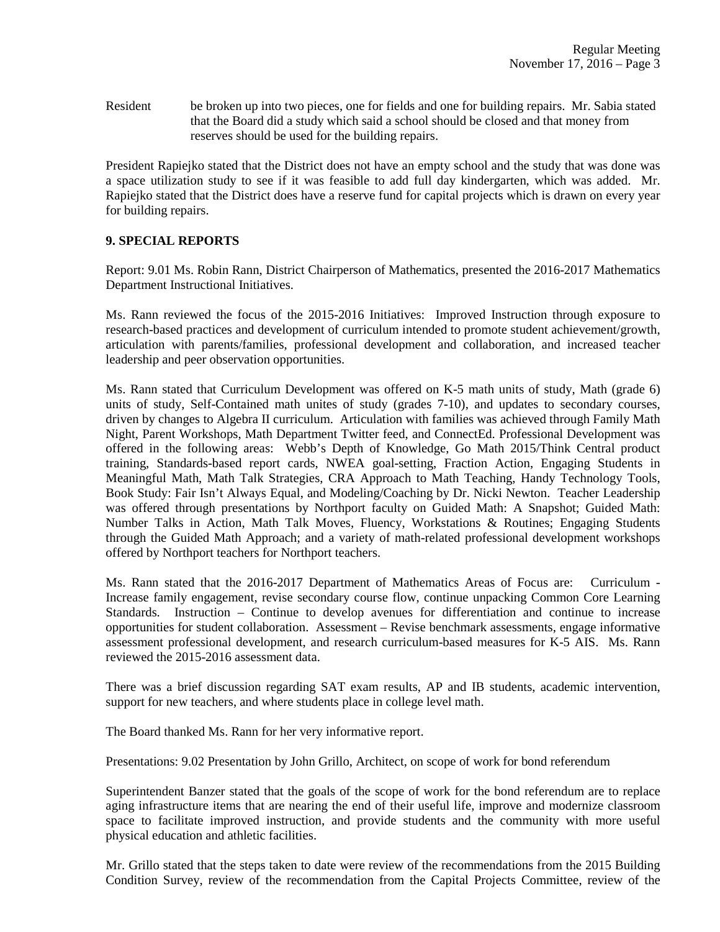Resident be broken up into two pieces, one for fields and one for building repairs. Mr. Sabia stated that the Board did a study which said a school should be closed and that money from reserves should be used for the building repairs.

President Rapiejko stated that the District does not have an empty school and the study that was done was a space utilization study to see if it was feasible to add full day kindergarten, which was added. Mr. Rapiejko stated that the District does have a reserve fund for capital projects which is drawn on every year for building repairs.

# **9. SPECIAL REPORTS**

Report: 9.01 Ms. Robin Rann, District Chairperson of Mathematics, presented the 2016-2017 Mathematics Department Instructional Initiatives.

Ms. Rann reviewed the focus of the 2015-2016 Initiatives: Improved Instruction through exposure to research-based practices and development of curriculum intended to promote student achievement/growth, articulation with parents/families, professional development and collaboration, and increased teacher leadership and peer observation opportunities.

Ms. Rann stated that Curriculum Development was offered on K-5 math units of study, Math (grade 6) units of study, Self-Contained math unites of study (grades 7-10), and updates to secondary courses, driven by changes to Algebra II curriculum. Articulation with families was achieved through Family Math Night, Parent Workshops, Math Department Twitter feed, and ConnectEd. Professional Development was offered in the following areas: Webb's Depth of Knowledge, Go Math 2015/Think Central product training, Standards-based report cards, NWEA goal-setting, Fraction Action, Engaging Students in Meaningful Math, Math Talk Strategies, CRA Approach to Math Teaching, Handy Technology Tools, Book Study: Fair Isn't Always Equal, and Modeling/Coaching by Dr. Nicki Newton. Teacher Leadership was offered through presentations by Northport faculty on Guided Math: A Snapshot; Guided Math: Number Talks in Action, Math Talk Moves, Fluency, Workstations & Routines; Engaging Students through the Guided Math Approach; and a variety of math-related professional development workshops offered by Northport teachers for Northport teachers.

Ms. Rann stated that the 2016-2017 Department of Mathematics Areas of Focus are: Curriculum - Increase family engagement, revise secondary course flow, continue unpacking Common Core Learning Standards. Instruction – Continue to develop avenues for differentiation and continue to increase opportunities for student collaboration. Assessment – Revise benchmark assessments, engage informative assessment professional development, and research curriculum-based measures for K-5 AIS. Ms. Rann reviewed the 2015-2016 assessment data.

There was a brief discussion regarding SAT exam results, AP and IB students, academic intervention, support for new teachers, and where students place in college level math.

The Board thanked Ms. Rann for her very informative report.

Presentations: 9.02 Presentation by John Grillo, Architect, on scope of work for bond referendum

Superintendent Banzer stated that the goals of the scope of work for the bond referendum are to replace aging infrastructure items that are nearing the end of their useful life, improve and modernize classroom space to facilitate improved instruction, and provide students and the community with more useful physical education and athletic facilities.

Mr. Grillo stated that the steps taken to date were review of the recommendations from the 2015 Building Condition Survey, review of the recommendation from the Capital Projects Committee, review of the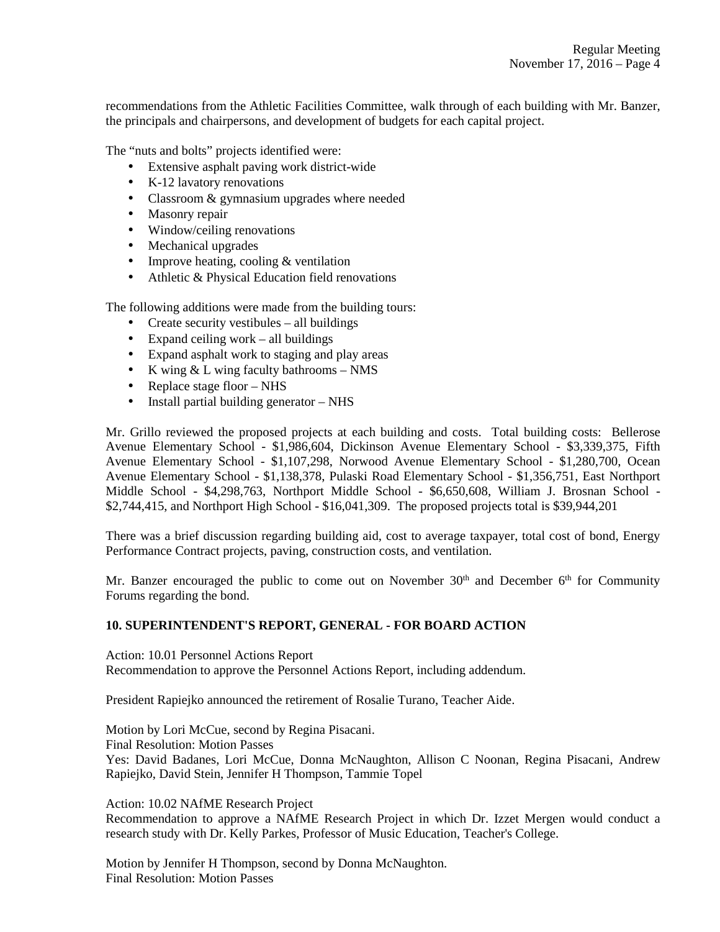recommendations from the Athletic Facilities Committee, walk through of each building with Mr. Banzer, the principals and chairpersons, and development of budgets for each capital project.

The "nuts and bolts" projects identified were:

- Extensive asphalt paving work district-wide
- K-12 lavatory renovations
- Classroom & gymnasium upgrades where needed
- Masonry repair
- Window/ceiling renovations
- Mechanical upgrades
- Improve heating, cooling & ventilation
- Athletic & Physical Education field renovations

The following additions were made from the building tours:

- Create security vestibules all buildings
- Expand ceiling work all buildings
- Expand asphalt work to staging and play areas
- K wing  $& \& \text{L}$  wing faculty bathrooms NMS
- Replace stage floor NHS
- Install partial building generator NHS

Mr. Grillo reviewed the proposed projects at each building and costs. Total building costs: Bellerose Avenue Elementary School - \$1,986,604, Dickinson Avenue Elementary School - \$3,339,375, Fifth Avenue Elementary School - \$1,107,298, Norwood Avenue Elementary School - \$1,280,700, Ocean Avenue Elementary School - \$1,138,378, Pulaski Road Elementary School - \$1,356,751, East Northport Middle School - \$4,298,763, Northport Middle School - \$6,650,608, William J. Brosnan School - \$2,744,415, and Northport High School - \$16,041,309. The proposed projects total is \$39,944,201

There was a brief discussion regarding building aid, cost to average taxpayer, total cost of bond, Energy Performance Contract projects, paving, construction costs, and ventilation.

Mr. Banzer encouraged the public to come out on November  $30<sup>th</sup>$  and December  $6<sup>th</sup>$  for Community Forums regarding the bond.

## **10. SUPERINTENDENT'S REPORT, GENERAL - FOR BOARD ACTION**

Action: 10.01 Personnel Actions Report Recommendation to approve the Personnel Actions Report, including addendum.

President Rapiejko announced the retirement of Rosalie Turano, Teacher Aide.

Motion by Lori McCue, second by Regina Pisacani.

Final Resolution: Motion Passes

Yes: David Badanes, Lori McCue, Donna McNaughton, Allison C Noonan, Regina Pisacani, Andrew Rapiejko, David Stein, Jennifer H Thompson, Tammie Topel

Action: 10.02 NAfME Research Project

Recommendation to approve a NAfME Research Project in which Dr. Izzet Mergen would conduct a research study with Dr. Kelly Parkes, Professor of Music Education, Teacher's College.

Motion by Jennifer H Thompson, second by Donna McNaughton. Final Resolution: Motion Passes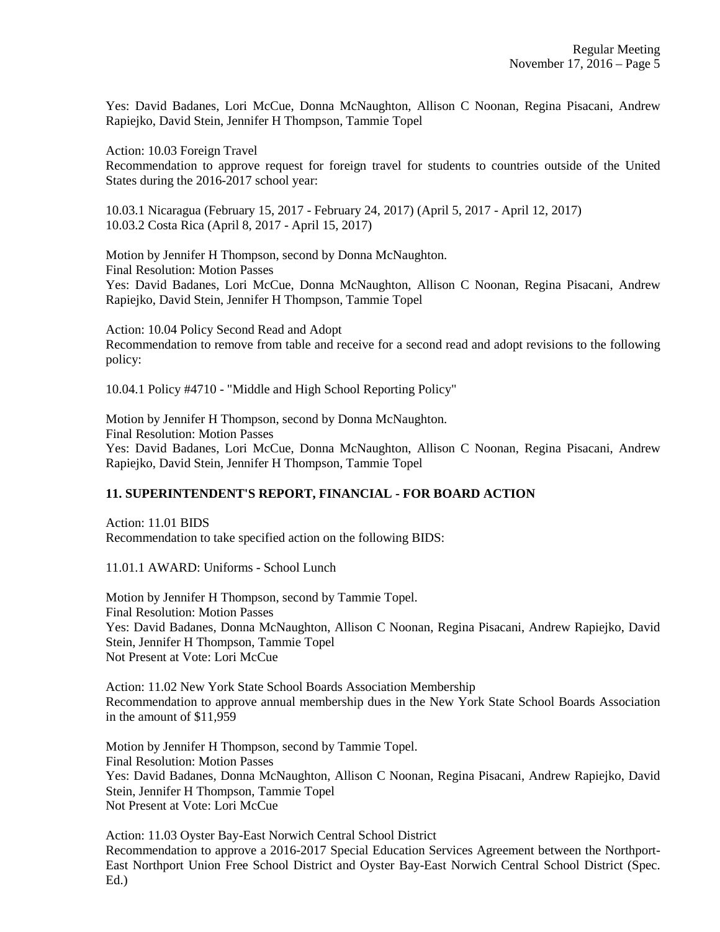Yes: David Badanes, Lori McCue, Donna McNaughton, Allison C Noonan, Regina Pisacani, Andrew Rapiejko, David Stein, Jennifer H Thompson, Tammie Topel

Action: 10.03 Foreign Travel

Recommendation to approve request for foreign travel for students to countries outside of the United States during the 2016-2017 school year:

10.03.1 Nicaragua (February 15, 2017 - February 24, 2017) (April 5, 2017 - April 12, 2017) 10.03.2 Costa Rica (April 8, 2017 - April 15, 2017)

Motion by Jennifer H Thompson, second by Donna McNaughton. Final Resolution: Motion Passes Yes: David Badanes, Lori McCue, Donna McNaughton, Allison C Noonan, Regina Pisacani, Andrew Rapiejko, David Stein, Jennifer H Thompson, Tammie Topel

Action: 10.04 Policy Second Read and Adopt Recommendation to remove from table and receive for a second read and adopt revisions to the following policy:

10.04.1 Policy #4710 - "Middle and High School Reporting Policy"

Motion by Jennifer H Thompson, second by Donna McNaughton. Final Resolution: Motion Passes Yes: David Badanes, Lori McCue, Donna McNaughton, Allison C Noonan, Regina Pisacani, Andrew Rapiejko, David Stein, Jennifer H Thompson, Tammie Topel

## **11. SUPERINTENDENT'S REPORT, FINANCIAL - FOR BOARD ACTION**

Action: 11.01 BIDS Recommendation to take specified action on the following BIDS:

11.01.1 AWARD: Uniforms - School Lunch

Motion by Jennifer H Thompson, second by Tammie Topel. Final Resolution: Motion Passes Yes: David Badanes, Donna McNaughton, Allison C Noonan, Regina Pisacani, Andrew Rapiejko, David Stein, Jennifer H Thompson, Tammie Topel Not Present at Vote: Lori McCue

Action: 11.02 New York State School Boards Association Membership Recommendation to approve annual membership dues in the New York State School Boards Association in the amount of \$11,959

Motion by Jennifer H Thompson, second by Tammie Topel. Final Resolution: Motion Passes Yes: David Badanes, Donna McNaughton, Allison C Noonan, Regina Pisacani, Andrew Rapiejko, David Stein, Jennifer H Thompson, Tammie Topel Not Present at Vote: Lori McCue

Action: 11.03 Oyster Bay-East Norwich Central School District Recommendation to approve a 2016-2017 Special Education Services Agreement between the Northport-East Northport Union Free School District and Oyster Bay-East Norwich Central School District (Spec. Ed.)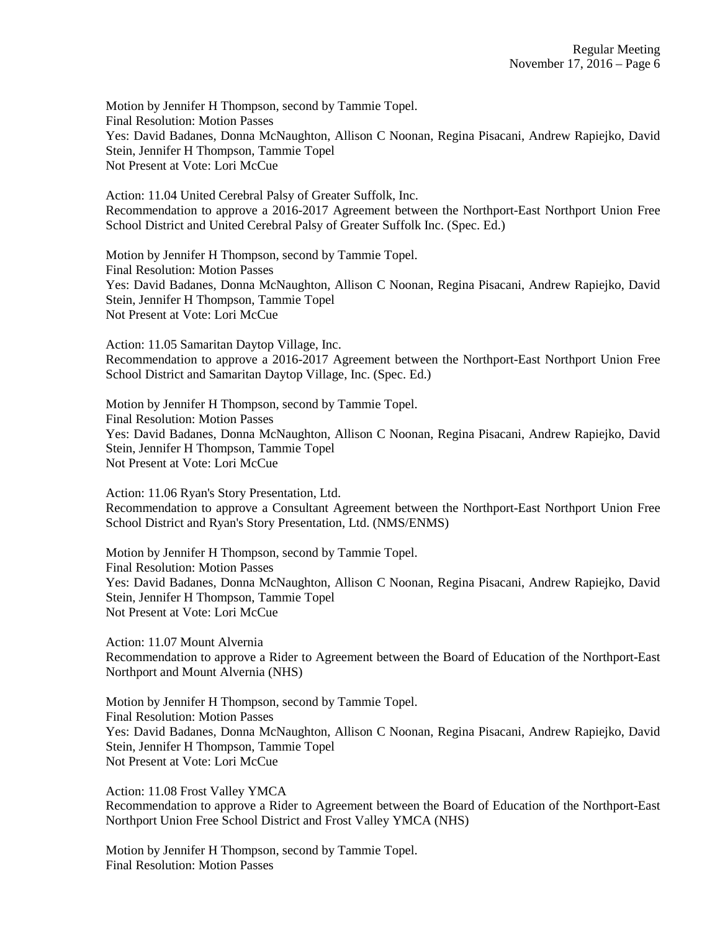Motion by Jennifer H Thompson, second by Tammie Topel. Final Resolution: Motion Passes Yes: David Badanes, Donna McNaughton, Allison C Noonan, Regina Pisacani, Andrew Rapiejko, David Stein, Jennifer H Thompson, Tammie Topel Not Present at Vote: Lori McCue

Action: 11.04 United Cerebral Palsy of Greater Suffolk, Inc. Recommendation to approve a 2016-2017 Agreement between the Northport-East Northport Union Free School District and United Cerebral Palsy of Greater Suffolk Inc. (Spec. Ed.)

Motion by Jennifer H Thompson, second by Tammie Topel. Final Resolution: Motion Passes Yes: David Badanes, Donna McNaughton, Allison C Noonan, Regina Pisacani, Andrew Rapiejko, David Stein, Jennifer H Thompson, Tammie Topel Not Present at Vote: Lori McCue

Action: 11.05 Samaritan Daytop Village, Inc. Recommendation to approve a 2016-2017 Agreement between the Northport-East Northport Union Free School District and Samaritan Daytop Village, Inc. (Spec. Ed.)

Motion by Jennifer H Thompson, second by Tammie Topel. Final Resolution: Motion Passes Yes: David Badanes, Donna McNaughton, Allison C Noonan, Regina Pisacani, Andrew Rapiejko, David Stein, Jennifer H Thompson, Tammie Topel Not Present at Vote: Lori McCue

Action: 11.06 Ryan's Story Presentation, Ltd. Recommendation to approve a Consultant Agreement between the Northport-East Northport Union Free School District and Ryan's Story Presentation, Ltd. (NMS/ENMS)

Motion by Jennifer H Thompson, second by Tammie Topel. Final Resolution: Motion Passes Yes: David Badanes, Donna McNaughton, Allison C Noonan, Regina Pisacani, Andrew Rapiejko, David Stein, Jennifer H Thompson, Tammie Topel Not Present at Vote: Lori McCue

Action: 11.07 Mount Alvernia Recommendation to approve a Rider to Agreement between the Board of Education of the Northport-East Northport and Mount Alvernia (NHS)

Motion by Jennifer H Thompson, second by Tammie Topel. Final Resolution: Motion Passes Yes: David Badanes, Donna McNaughton, Allison C Noonan, Regina Pisacani, Andrew Rapiejko, David Stein, Jennifer H Thompson, Tammie Topel Not Present at Vote: Lori McCue

Action: 11.08 Frost Valley YMCA Recommendation to approve a Rider to Agreement between the Board of Education of the Northport-East Northport Union Free School District and Frost Valley YMCA (NHS)

Motion by Jennifer H Thompson, second by Tammie Topel. Final Resolution: Motion Passes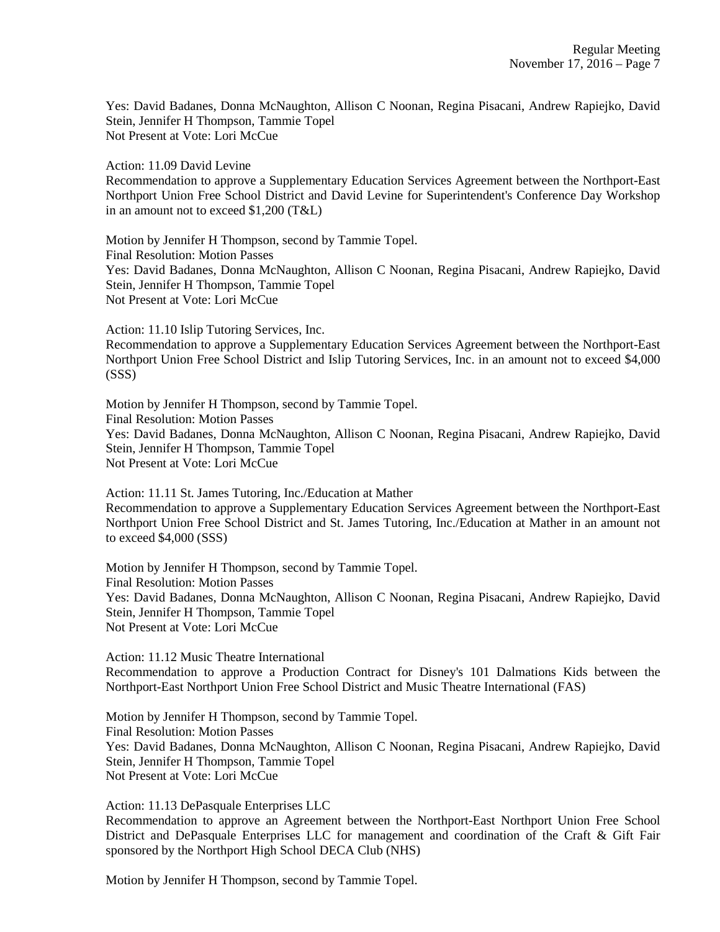Yes: David Badanes, Donna McNaughton, Allison C Noonan, Regina Pisacani, Andrew Rapiejko, David Stein, Jennifer H Thompson, Tammie Topel Not Present at Vote: Lori McCue

Action: 11.09 David Levine

Recommendation to approve a Supplementary Education Services Agreement between the Northport-East Northport Union Free School District and David Levine for Superintendent's Conference Day Workshop in an amount not to exceed \$1,200 (T&L)

Motion by Jennifer H Thompson, second by Tammie Topel. Final Resolution: Motion Passes Yes: David Badanes, Donna McNaughton, Allison C Noonan, Regina Pisacani, Andrew Rapiejko, David Stein, Jennifer H Thompson, Tammie Topel Not Present at Vote: Lori McCue

Action: 11.10 Islip Tutoring Services, Inc.

Recommendation to approve a Supplementary Education Services Agreement between the Northport-East Northport Union Free School District and Islip Tutoring Services, Inc. in an amount not to exceed \$4,000 (SSS)

Motion by Jennifer H Thompson, second by Tammie Topel. Final Resolution: Motion Passes Yes: David Badanes, Donna McNaughton, Allison C Noonan, Regina Pisacani, Andrew Rapiejko, David Stein, Jennifer H Thompson, Tammie Topel Not Present at Vote: Lori McCue

Action: 11.11 St. James Tutoring, Inc./Education at Mather Recommendation to approve a Supplementary Education Services Agreement between the Northport-East Northport Union Free School District and St. James Tutoring, Inc./Education at Mather in an amount not to exceed \$4,000 (SSS)

Motion by Jennifer H Thompson, second by Tammie Topel. Final Resolution: Motion Passes Yes: David Badanes, Donna McNaughton, Allison C Noonan, Regina Pisacani, Andrew Rapiejko, David Stein, Jennifer H Thompson, Tammie Topel Not Present at Vote: Lori McCue

Action: 11.12 Music Theatre International Recommendation to approve a Production Contract for Disney's 101 Dalmations Kids between the Northport-East Northport Union Free School District and Music Theatre International (FAS)

Motion by Jennifer H Thompson, second by Tammie Topel. Final Resolution: Motion Passes Yes: David Badanes, Donna McNaughton, Allison C Noonan, Regina Pisacani, Andrew Rapiejko, David Stein, Jennifer H Thompson, Tammie Topel Not Present at Vote: Lori McCue

Action: 11.13 DePasquale Enterprises LLC Recommendation to approve an Agreement between the Northport-East Northport Union Free School District and DePasquale Enterprises LLC for management and coordination of the Craft & Gift Fair sponsored by the Northport High School DECA Club (NHS)

Motion by Jennifer H Thompson, second by Tammie Topel.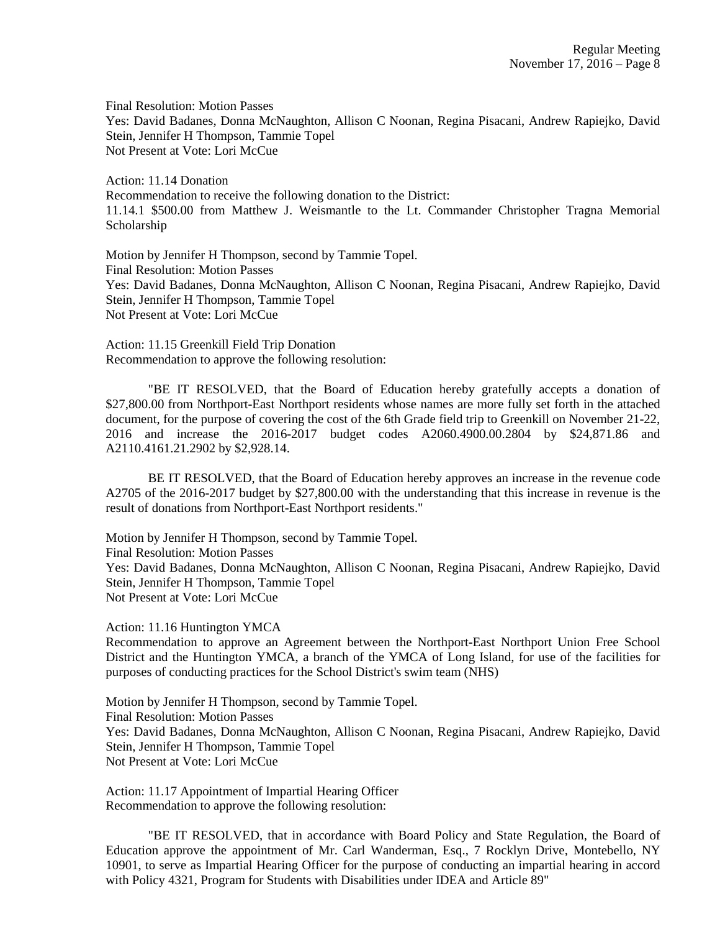Final Resolution: Motion Passes Yes: David Badanes, Donna McNaughton, Allison C Noonan, Regina Pisacani, Andrew Rapiejko, David Stein, Jennifer H Thompson, Tammie Topel Not Present at Vote: Lori McCue

Action: 11.14 Donation Recommendation to receive the following donation to the District: 11.14.1 \$500.00 from Matthew J. Weismantle to the Lt. Commander Christopher Tragna Memorial Scholarship

Motion by Jennifer H Thompson, second by Tammie Topel. Final Resolution: Motion Passes Yes: David Badanes, Donna McNaughton, Allison C Noonan, Regina Pisacani, Andrew Rapiejko, David Stein, Jennifer H Thompson, Tammie Topel Not Present at Vote: Lori McCue

Action: 11.15 Greenkill Field Trip Donation Recommendation to approve the following resolution:

"BE IT RESOLVED, that the Board of Education hereby gratefully accepts a donation of \$27,800.00 from Northport-East Northport residents whose names are more fully set forth in the attached document, for the purpose of covering the cost of the 6th Grade field trip to Greenkill on November 21-22, 2016 and increase the 2016-2017 budget codes A2060.4900.00.2804 by \$24,871.86 and A2110.4161.21.2902 by \$2,928.14.

BE IT RESOLVED, that the Board of Education hereby approves an increase in the revenue code A2705 of the 2016-2017 budget by \$27,800.00 with the understanding that this increase in revenue is the result of donations from Northport-East Northport residents."

Motion by Jennifer H Thompson, second by Tammie Topel. Final Resolution: Motion Passes Yes: David Badanes, Donna McNaughton, Allison C Noonan, Regina Pisacani, Andrew Rapiejko, David Stein, Jennifer H Thompson, Tammie Topel Not Present at Vote: Lori McCue

Action: 11.16 Huntington YMCA

Recommendation to approve an Agreement between the Northport-East Northport Union Free School District and the Huntington YMCA, a branch of the YMCA of Long Island, for use of the facilities for purposes of conducting practices for the School District's swim team (NHS)

Motion by Jennifer H Thompson, second by Tammie Topel. Final Resolution: Motion Passes Yes: David Badanes, Donna McNaughton, Allison C Noonan, Regina Pisacani, Andrew Rapiejko, David Stein, Jennifer H Thompson, Tammie Topel Not Present at Vote: Lori McCue

Action: 11.17 Appointment of Impartial Hearing Officer Recommendation to approve the following resolution:

"BE IT RESOLVED, that in accordance with Board Policy and State Regulation, the Board of Education approve the appointment of Mr. Carl Wanderman, Esq., 7 Rocklyn Drive, Montebello, NY 10901, to serve as Impartial Hearing Officer for the purpose of conducting an impartial hearing in accord with Policy 4321, Program for Students with Disabilities under IDEA and Article 89"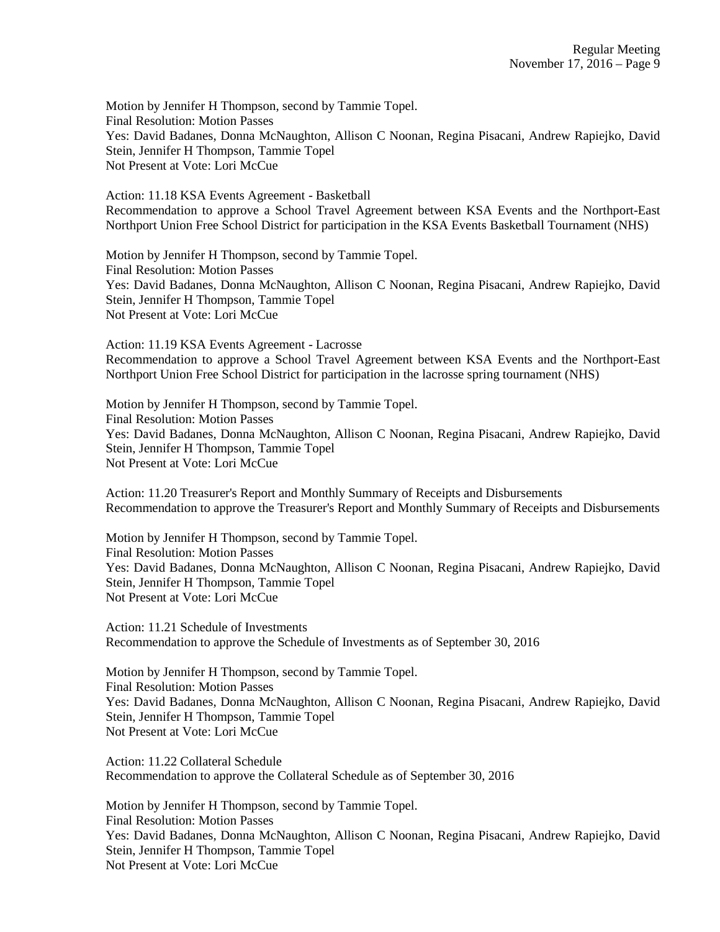Motion by Jennifer H Thompson, second by Tammie Topel. Final Resolution: Motion Passes Yes: David Badanes, Donna McNaughton, Allison C Noonan, Regina Pisacani, Andrew Rapiejko, David Stein, Jennifer H Thompson, Tammie Topel Not Present at Vote: Lori McCue

Action: 11.18 KSA Events Agreement - Basketball Recommendation to approve a School Travel Agreement between KSA Events and the Northport-East Northport Union Free School District for participation in the KSA Events Basketball Tournament (NHS)

Motion by Jennifer H Thompson, second by Tammie Topel. Final Resolution: Motion Passes Yes: David Badanes, Donna McNaughton, Allison C Noonan, Regina Pisacani, Andrew Rapiejko, David Stein, Jennifer H Thompson, Tammie Topel Not Present at Vote: Lori McCue

Action: 11.19 KSA Events Agreement - Lacrosse Recommendation to approve a School Travel Agreement between KSA Events and the Northport-East Northport Union Free School District for participation in the lacrosse spring tournament (NHS)

Motion by Jennifer H Thompson, second by Tammie Topel. Final Resolution: Motion Passes Yes: David Badanes, Donna McNaughton, Allison C Noonan, Regina Pisacani, Andrew Rapiejko, David Stein, Jennifer H Thompson, Tammie Topel Not Present at Vote: Lori McCue

Action: 11.20 Treasurer's Report and Monthly Summary of Receipts and Disbursements Recommendation to approve the Treasurer's Report and Monthly Summary of Receipts and Disbursements

Motion by Jennifer H Thompson, second by Tammie Topel. Final Resolution: Motion Passes Yes: David Badanes, Donna McNaughton, Allison C Noonan, Regina Pisacani, Andrew Rapiejko, David Stein, Jennifer H Thompson, Tammie Topel Not Present at Vote: Lori McCue

Action: 11.21 Schedule of Investments Recommendation to approve the Schedule of Investments as of September 30, 2016

Motion by Jennifer H Thompson, second by Tammie Topel. Final Resolution: Motion Passes Yes: David Badanes, Donna McNaughton, Allison C Noonan, Regina Pisacani, Andrew Rapiejko, David Stein, Jennifer H Thompson, Tammie Topel Not Present at Vote: Lori McCue

Action: 11.22 Collateral Schedule Recommendation to approve the Collateral Schedule as of September 30, 2016

Motion by Jennifer H Thompson, second by Tammie Topel. Final Resolution: Motion Passes Yes: David Badanes, Donna McNaughton, Allison C Noonan, Regina Pisacani, Andrew Rapiejko, David Stein, Jennifer H Thompson, Tammie Topel Not Present at Vote: Lori McCue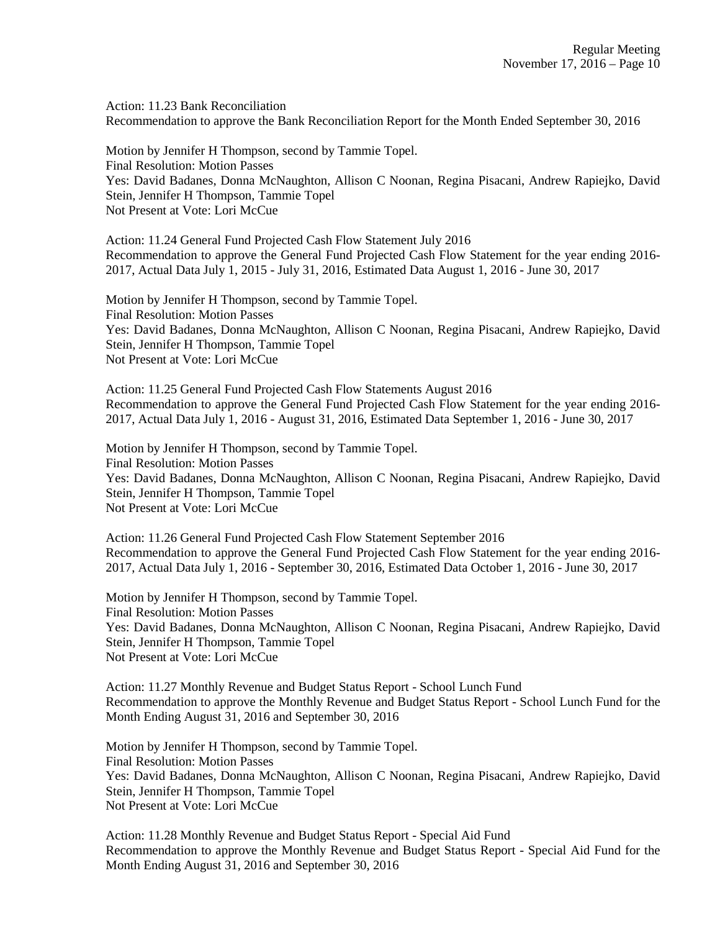Action: 11.23 Bank Reconciliation Recommendation to approve the Bank Reconciliation Report for the Month Ended September 30, 2016

Motion by Jennifer H Thompson, second by Tammie Topel. Final Resolution: Motion Passes Yes: David Badanes, Donna McNaughton, Allison C Noonan, Regina Pisacani, Andrew Rapiejko, David Stein, Jennifer H Thompson, Tammie Topel Not Present at Vote: Lori McCue

Action: 11.24 General Fund Projected Cash Flow Statement July 2016 Recommendation to approve the General Fund Projected Cash Flow Statement for the year ending 2016- 2017, Actual Data July 1, 2015 - July 31, 2016, Estimated Data August 1, 2016 - June 30, 2017

Motion by Jennifer H Thompson, second by Tammie Topel. Final Resolution: Motion Passes Yes: David Badanes, Donna McNaughton, Allison C Noonan, Regina Pisacani, Andrew Rapiejko, David Stein, Jennifer H Thompson, Tammie Topel Not Present at Vote: Lori McCue

Action: 11.25 General Fund Projected Cash Flow Statements August 2016 Recommendation to approve the General Fund Projected Cash Flow Statement for the year ending 2016- 2017, Actual Data July 1, 2016 - August 31, 2016, Estimated Data September 1, 2016 - June 30, 2017

Motion by Jennifer H Thompson, second by Tammie Topel. Final Resolution: Motion Passes Yes: David Badanes, Donna McNaughton, Allison C Noonan, Regina Pisacani, Andrew Rapiejko, David Stein, Jennifer H Thompson, Tammie Topel Not Present at Vote: Lori McCue

Action: 11.26 General Fund Projected Cash Flow Statement September 2016 Recommendation to approve the General Fund Projected Cash Flow Statement for the year ending 2016- 2017, Actual Data July 1, 2016 - September 30, 2016, Estimated Data October 1, 2016 - June 30, 2017

Motion by Jennifer H Thompson, second by Tammie Topel. Final Resolution: Motion Passes Yes: David Badanes, Donna McNaughton, Allison C Noonan, Regina Pisacani, Andrew Rapiejko, David Stein, Jennifer H Thompson, Tammie Topel Not Present at Vote: Lori McCue

Action: 11.27 Monthly Revenue and Budget Status Report - School Lunch Fund Recommendation to approve the Monthly Revenue and Budget Status Report - School Lunch Fund for the Month Ending August 31, 2016 and September 30, 2016

Motion by Jennifer H Thompson, second by Tammie Topel. Final Resolution: Motion Passes Yes: David Badanes, Donna McNaughton, Allison C Noonan, Regina Pisacani, Andrew Rapiejko, David Stein, Jennifer H Thompson, Tammie Topel Not Present at Vote: Lori McCue

Action: 11.28 Monthly Revenue and Budget Status Report - Special Aid Fund Recommendation to approve the Monthly Revenue and Budget Status Report - Special Aid Fund for the Month Ending August 31, 2016 and September 30, 2016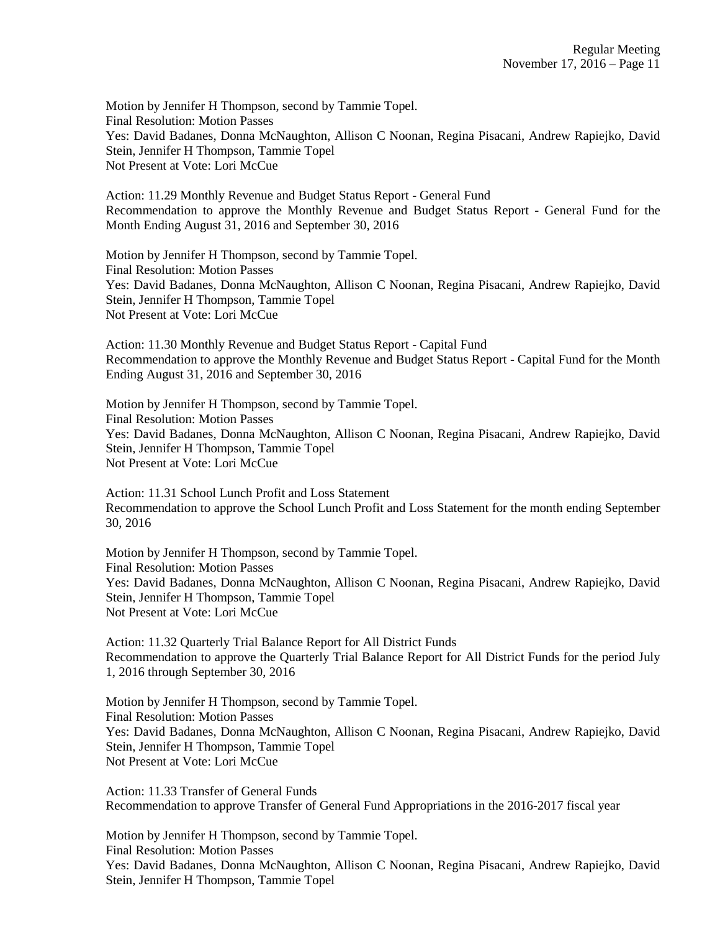Motion by Jennifer H Thompson, second by Tammie Topel. Final Resolution: Motion Passes Yes: David Badanes, Donna McNaughton, Allison C Noonan, Regina Pisacani, Andrew Rapiejko, David Stein, Jennifer H Thompson, Tammie Topel Not Present at Vote: Lori McCue

Action: 11.29 Monthly Revenue and Budget Status Report - General Fund Recommendation to approve the Monthly Revenue and Budget Status Report - General Fund for the Month Ending August 31, 2016 and September 30, 2016

Motion by Jennifer H Thompson, second by Tammie Topel. Final Resolution: Motion Passes Yes: David Badanes, Donna McNaughton, Allison C Noonan, Regina Pisacani, Andrew Rapiejko, David Stein, Jennifer H Thompson, Tammie Topel Not Present at Vote: Lori McCue

Action: 11.30 Monthly Revenue and Budget Status Report - Capital Fund Recommendation to approve the Monthly Revenue and Budget Status Report - Capital Fund for the Month Ending August 31, 2016 and September 30, 2016

Motion by Jennifer H Thompson, second by Tammie Topel. Final Resolution: Motion Passes Yes: David Badanes, Donna McNaughton, Allison C Noonan, Regina Pisacani, Andrew Rapiejko, David Stein, Jennifer H Thompson, Tammie Topel Not Present at Vote: Lori McCue

Action: 11.31 School Lunch Profit and Loss Statement Recommendation to approve the School Lunch Profit and Loss Statement for the month ending September 30, 2016

Motion by Jennifer H Thompson, second by Tammie Topel. Final Resolution: Motion Passes Yes: David Badanes, Donna McNaughton, Allison C Noonan, Regina Pisacani, Andrew Rapiejko, David Stein, Jennifer H Thompson, Tammie Topel Not Present at Vote: Lori McCue

Action: 11.32 Quarterly Trial Balance Report for All District Funds Recommendation to approve the Quarterly Trial Balance Report for All District Funds for the period July 1, 2016 through September 30, 2016

Motion by Jennifer H Thompson, second by Tammie Topel. Final Resolution: Motion Passes Yes: David Badanes, Donna McNaughton, Allison C Noonan, Regina Pisacani, Andrew Rapiejko, David Stein, Jennifer H Thompson, Tammie Topel Not Present at Vote: Lori McCue

Action: 11.33 Transfer of General Funds Recommendation to approve Transfer of General Fund Appropriations in the 2016-2017 fiscal year

Motion by Jennifer H Thompson, second by Tammie Topel. Final Resolution: Motion Passes Yes: David Badanes, Donna McNaughton, Allison C Noonan, Regina Pisacani, Andrew Rapiejko, David Stein, Jennifer H Thompson, Tammie Topel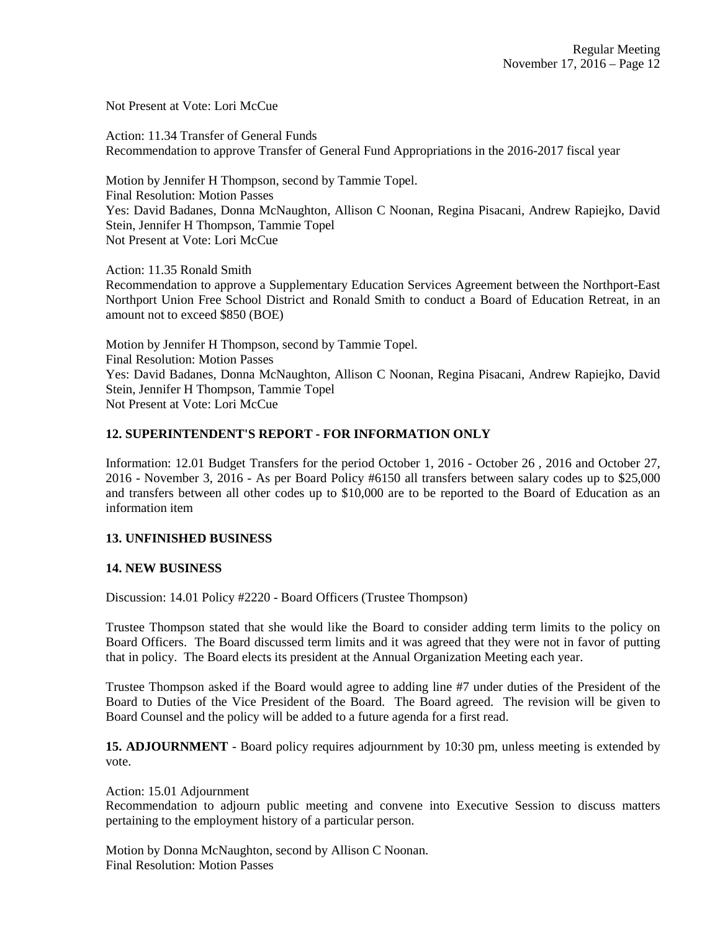Not Present at Vote: Lori McCue

Action: 11.34 Transfer of General Funds Recommendation to approve Transfer of General Fund Appropriations in the 2016-2017 fiscal year

Motion by Jennifer H Thompson, second by Tammie Topel. Final Resolution: Motion Passes Yes: David Badanes, Donna McNaughton, Allison C Noonan, Regina Pisacani, Andrew Rapiejko, David Stein, Jennifer H Thompson, Tammie Topel Not Present at Vote: Lori McCue

Action: 11.35 Ronald Smith Recommendation to approve a Supplementary Education Services Agreement between the Northport-East Northport Union Free School District and Ronald Smith to conduct a Board of Education Retreat, in an amount not to exceed \$850 (BOE)

Motion by Jennifer H Thompson, second by Tammie Topel. Final Resolution: Motion Passes Yes: David Badanes, Donna McNaughton, Allison C Noonan, Regina Pisacani, Andrew Rapiejko, David Stein, Jennifer H Thompson, Tammie Topel Not Present at Vote: Lori McCue

# **12. SUPERINTENDENT'S REPORT - FOR INFORMATION ONLY**

Information: 12.01 Budget Transfers for the period October 1, 2016 - October 26 , 2016 and October 27, 2016 - November 3, 2016 - As per Board Policy #6150 all transfers between salary codes up to \$25,000 and transfers between all other codes up to \$10,000 are to be reported to the Board of Education as an information item

## **13. UNFINISHED BUSINESS**

## **14. NEW BUSINESS**

Discussion: 14.01 Policy #2220 - Board Officers (Trustee Thompson)

Trustee Thompson stated that she would like the Board to consider adding term limits to the policy on Board Officers. The Board discussed term limits and it was agreed that they were not in favor of putting that in policy. The Board elects its president at the Annual Organization Meeting each year.

Trustee Thompson asked if the Board would agree to adding line #7 under duties of the President of the Board to Duties of the Vice President of the Board. The Board agreed. The revision will be given to Board Counsel and the policy will be added to a future agenda for a first read.

**15. ADJOURNMENT** - Board policy requires adjournment by 10:30 pm, unless meeting is extended by vote.

## Action: 15.01 Adjournment

Recommendation to adjourn public meeting and convene into Executive Session to discuss matters pertaining to the employment history of a particular person.

Motion by Donna McNaughton, second by Allison C Noonan. Final Resolution: Motion Passes